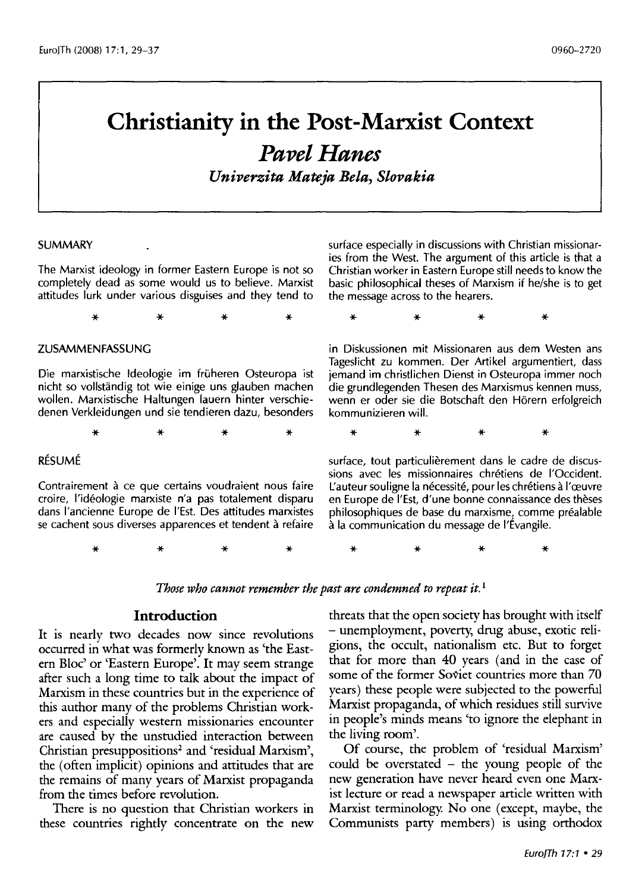# **Christianity in the Post-Marxist Context**  *Pavel Hanes*

*Univerzita Mateja Bela, Slovakia* 

#### SUMMARY

The Marxist ideology in former Eastern Europe is not so completely dead as some would us to believe. Marxist attitudes lurk under various disguises and they tend to

\* \* \* \*

#### ZUSAMMENFASSUNG

Die marxistische ldeologie im fruheren Osteuropa ist nicht so vollstandig tot wie einige uns glauben machen wollen. Marxistische Haltungen lauern hinter verschiedenen Verkleidungen und sie tendieren dazu, besonders

\* \* \* \*

#### RÉSUMÉ

Contrairement à ce que certains voudraient nous faire croire, l'ideologie marxiste n'a pas totalement disparu dans l'ancienne Europe de I'Est. Des attitudes marxistes se cachent sous diverses apparences et tendent à refaire

surface especially in discussions with Christian missionaries from the West. The argument of this article is that a Christian worker in Eastern Europe still needs to know the basic philosophical theses of Marxism if he/she is to get the message across to the hearers.

\* \* \* \*

in Diskussionen mit Missionaren aus dem Westen ans Tageslicht zu kommen. Der Artikel argumentiert, dass jemand im christlichen Dienst in Osteuropa immer noch die grundlegenden Thesen des Marxismus kennen muss, wenn er oder sie die Botschaft den Horern erfolgreich kommunizieren will.

\* \* \* \*

surface, tout particulièrement dans le cadre de discussions avec les missionnaires chretiens de I'Occident. L'auteur souligne la nécessité, pour les chrétiens à l'œuvre en Europe de I'Est, d'une bonne connaissance des theses philosophiques de base du marxisme, comme prealable a la communication du message de I'Evangile.

\* \* \* \* \* \* \* \*

Those who cannot remember the past are condemned to repeat it.<sup>1</sup>

#### **Introduction**

It is nearly two decades now since revolutions occurred in what was formerly known as 'the Eastern Bloc' or 'Eastern Europe'. It may seem strange after such a long time to talk about the impact of Marxism in these countries but in the experience of this author many of the problems Christian workers and especially western missionaries encounter are caused by the unstudied interaction between Christian presuppositions<sup>2</sup> and 'residual Marxism', the (often implicit) opinions and attitudes that are the remains of many years of Marxist propaganda from the times before revolution.

There is no question that Christian workers in these countries rightly concentrate on the new threats that the open society has brought with itself -unemployment, poverty, drug abuse, exotic religions, the occult, nationalism etc. But to forget that for more than 40 years (and in the case of some of the former Soviet countries more than 70 years) these people were subjected to the powerful Marxist propaganda, of which residues still survive in people's minds means 'to ignore the elephant in the living room'.

Of course, the problem of 'residual Marxism' could be overstated - the young people of the new generation have never heard even one Marxist lecture or read a newspaper article written with Marxist terminology. No one (except, maybe, the Communists party members) is using orthodox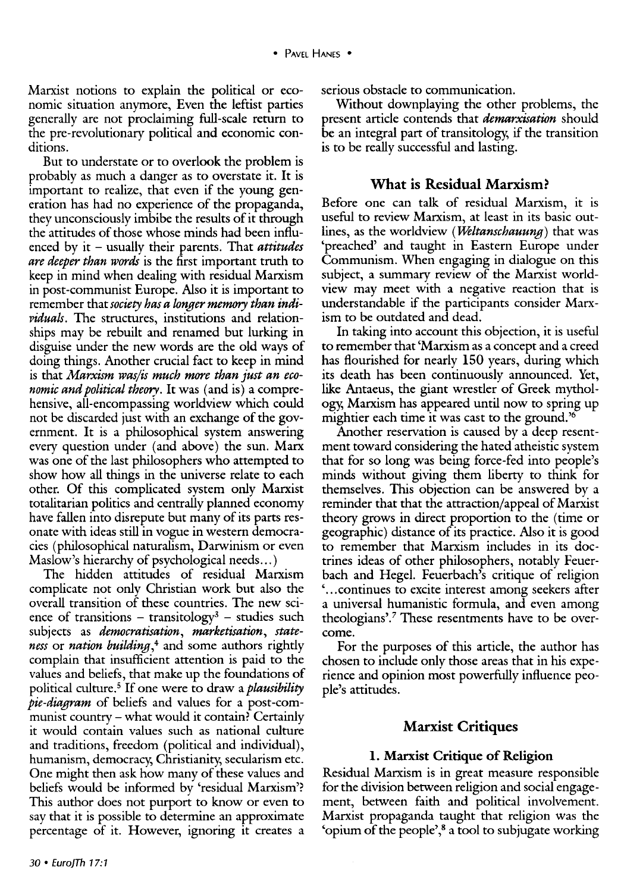Marxist notions to explain the political or economic situation anymore, Even the leftist parties generally are not proclaiming full-scale return to the pre-revolutionary political and economic conditions.

But to understate or to overlook the problem is probably as much a danger as to overstate it. It is important to realize, that even if the young generation has had no experience of the propaganda, they unconsciously imbibe the results of it through the attitudes of those whose minds had been influenced by it – usually their parents. That *attitudes are deeper than words* is the first important truth to keep in mind when dealing with residual Marxism in post-communist Europe. Also it is important to remember that *society has a longer* memory *than individuals.* The structures, institutions and relationships may be rebuilt and renamed but lurking in disguise under the new words are the old ways of doing things. Another crucial fact to keep in mind is that *Marxism wasjis much more than just an economic and political theory.* It was (and is) a comprehensive, all-encompassing worldview which could not be discarded just with an exchange of the government. It is a philosophical system answering every question under (and above) the sun. Marx was one of the last philosophers who attempted to show how all things in the universe relate to each other. Of this complicated system only Marxist totalitarian politics and centrally planned economy have fallen into disrepute but many of its parts resonate with ideas still in vogue in western democracies (philosophical naturalism, Darwinism or even Maslow's hierarchy of psychological needs...)

The hidden attitudes of residual Marxism complicate not only Christian work but also the overall transition of these countries. The new science of transitions - transitology<sup>3</sup> - studies such subjects as *democratisation, marketisation, stateness* or *nation building*,<sup>4</sup> and some authors rightly complain that insufficient attention is paid to the values and beliefs, that make up the foundations of political culture. 5 If one were to draw a *plausibility pie-diagram* of beliefs and values for a post-communist country- what would it contain? Certainly it would contain values such as national culture and traditions, freedom (political and individual), humanism, democracy, Christianity, secularism etc. One might then ask how many of these values and beliefs would be informed by 'residual Marxism'? This author does not purport to know or even to say that it is possible to determine an approximate percentage of it. However, ignoring it creates a

serious obstacle to communication.

Without downplaying the other problems, the present article contends that *demarxisation* should be an integral part of transitology, if the transition is to be really successful and lasting.

#### What is Residual Marxism?

Before one can talk of residual Marxism, it is useful to review Marxism, at least in its basic outlines, as the worldview *(Weltanschauung)* that was 'preached' and taught in Eastern Europe under Communism. When engaging in dialogue on this subject, a summary review of the Marxist worldview may meet with a negative reaction that is understandable if the participants consider Marxism to be outdated and dead.

In taking into account this objection, it is useful to remember that 'Marxism as a concept and a creed has flourished for nearly 150 years, during which its death has been continuously announced. Yet, like Antaeus, the giant wrestler of Greek mythology, Marxism has appeared until now to spring up mightier each time it was cast to the ground.'6

Another reservation is caused by a deep resentment toward considering the hated atheistic system that for so long was being force-fed into people's minds without giving them liberty to think for themselves. This objection can be answered by a reminder that that the attraction/appeal of Marxist theory grows in direct proportion to the (time or geographic) distance of its practice. Also it is good to remember that Marxism includes in its doctrines ideas of other philosophers, notably Feuerbach and Hegel. Feuerbach's critique of religion ' ... continues to excite interest among seekers after a universal humanistic formula, and even among theologians'.<sup>7</sup> These resentments have to be overcome.

For the purposes of this article, the author has chosen to include only those areas that in his experience and opinion most powerfully influence people's attitudes.

#### Marxist Critiques

#### l. Marxist Critique of Religion

Residual Marxism is in great measure responsible for the division between religion and social engagement, between faith and political involvement. Marxist propaganda taught that religion was the 'opium of the people', 8 a tool to subjugate working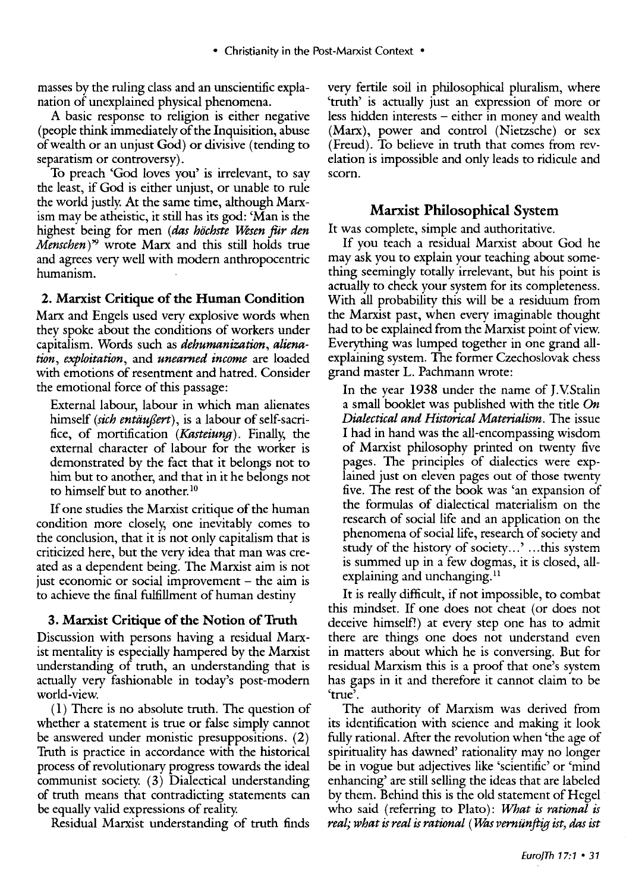masses by the ruling class and an unscientific explanation of unexplained physical phenomena.

A basic response to religion is either negative (people think immediately of the Inquisition, abuse of wealth or an unjust God) or divisive (tending to separatism or controversy).

To preach 'God loves you' is irrelevant, to say the least, if God is either unjust, or unable to rule the world justly. At the same time, although Marxism may be atheistic, it still has its god: 'Man is the highest being for men (das höchste Wesen für den *Menschen)* '9 wrote Marx and this still holds true and agrees very well with modern anthropocentric humanism.

### **2. Marxist Critique of the Human Condition**

Marx and Engels used very explosive words when they spoke about the conditions of workers under capitalism. Words such as *dehumanization, alienation, exploitation,* and *unearned income* are loaded with emotions of resentment and hatred. Consider the emotional force of this passage:

External labour, labour in which man alienates himself *(sich entäußert*), is a labour of self-sacrifice, of mortification *(Kasteiung).* Finally; the external character of labour for the worker is demonstrated by the fact that it belongs not to him but to another, and that in it he belongs not to himself but to another.<sup>10</sup>

If one studies the Marxist critique of the human condition more closely; one inevitably comes to the conclusion, that it is not only capitalism that is criticized here, but the very idea that man was created as a dependent being. The Marxist aim is not just economic or social improvement  $-$  the aim is to achieve the final fulfillment of human destiny

### **3. Marxist Critique of the Notion ofTruth**

Discussion with persons having a residual Marxist mentality is especially hampered by the Marxist understanding of truth, an understanding that is actually very fashionable in today's post-modern world-view.

( **l)** There is no absolute truth. The question of whether a statement is true or false simply cannot be answered under monistic presuppositions. (2) Truth is practice in accordance with the historical process of revolutionary progress towards the ideal communist society. ( 3) Dialectical understanding of truth means that contradicting statements can be equally valid expressions of reality.

Residual Marxist understanding of truth finds

very fertile soil in philosophical pluralism, where 'truth' is actually just an expression of more or less hidden interests – either in money and wealth (Marx), power and control (Nietzsche) or sex (Freud). To believe in truth that comes from revelation is impossible and only leads to ridicule and scorn.

### **Marxist Philosophical System**

It was complete, simple and authoritative.

If you teach a residual Marxist about God he may ask you to explain your teaching about something seemingly totally irrelevant, but his point is actually to check your system for its completeness. With all probability this will be a residuum from the Marxist past, when every imaginable thought had to be explained from the Marxist point of view. Everything was lumped together in one grand allexplaining system. The former Czechoslovak chess grand master L. Pachmann wrote:

In the year 1938 under the name of J.V.Stalin a small booklet was published with the title *On Dialectical and Historical Materialism.* The issue I had in hand was the all-encompassing wisdom of Marxist philosophy printed on twenty five pages. The principles of dialectics were explained just on eleven pages out of those twenty five. The rest of the book was 'an expansion of the formulas of dialectical materialism on the research of social life and an application on the phenomena of social life, research of society and study of the history of society...' ...this system is summed up in a few dogmas, it is closed, allexplaining and unchanging. $<sup>11</sup>$ </sup>

It is really difficult, if not impossible, to combat this rnindset. If one does not cheat (or does not deceive himself!) at every step one has to admit there are things one does not understand even in matters about which he is conversing. But for residual Marxism this is a proof that one's system has gaps in it and therefore it cannot claim to be 'true'.

The authority of Marxism was derived from its identification with science and making it look fully rational. After the revolution when 'the age of spirituality has dawned' rationality may no longer be in vogue but adjectives like 'scientific' or 'mind enhancing' are still selling the ideas that are labeled by them. Behind this is the old statement of Hegel who said (referring to Plato): *What is rational is real; what is real is rational* (*Was verniinftig ist, das ist*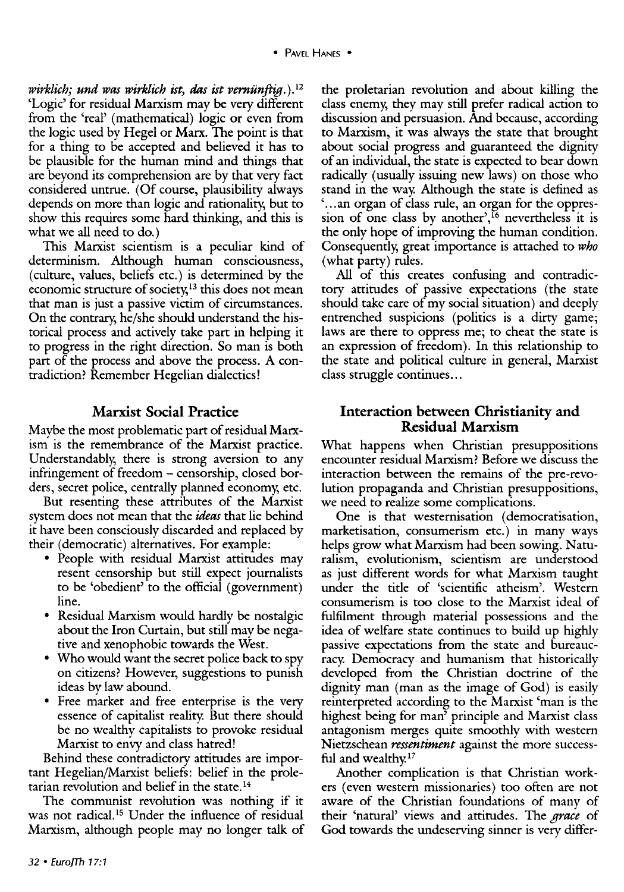*wirklich; und was wirklich ist, das ist vernunftig.).* <sup>12</sup> 'Logic' for residual Marxism may be very different from the 'real' (mathematical) logic or even from the logic used by Hegel or Marx. The point is that for a thing to be accepted and believed it has to be plausible for the human mind and things that are beyond its comprehension are by that very fact considered untrue. (Of course, plausibility always depends on more than logic and rationality, but to show this requires some hard thinking, and this is what we all need to do.)

This Marxist scientism is a peculiar kind of determinism. Although human consciousness, (culture, values, beliefs etc.) is determined by the economic structure of society,<sup>13</sup> this does not mean that man is just a passive victim of circumstances. On the contrary, he/she should understand the historical process and actively take part in helping it to progress in the right direction. So man is both part of the process and above the process. A contradiction? Remember Hegelian dialectics!

## **Marxist Social Practice**

Maybe the most problematic part of residual Marxism is the remembrance of the Marxist practice. Understandably, there is strong aversion to any infringement of freedom - censorship, closed borders, secret police, centrally planned economy, etc.

But resenting these attributes of the Marxist system does not mean that the *ideas* that lie behind it have been consciously discarded and replaced by their (democratic) alternatives. For example:

- People with residual Marxist attitudes may resent censorship but still expect journalists to be 'obedient' to the official (government) line.
- Residual Marxism would hardly be nostalgic about the Iron Curtain, but still may be negative and xenophobic towards the West.
- Who would want the secret police back to spy on citizens? However, suggestions to punish ideas by law abound.
- Free market and free enterprise is the very essence of capitalist reality. But there should be no wealthy capitalists to provoke residual Marxist to envy and class hatred!

Behind these contradictory attitudes are important Hegelian/Marxist beliefs: belief in the proletarian revolution and belief in the state. 14

The communist revolution was nothing if it was not radical.<sup>15</sup> Under the influence of residual Marxism, although people may no longer talk of

the proletarian revolution and about killing the class enemy, they may still prefer radical action to discussion and persuasion. And because, according to Marxism, it was always the state that brought about social progress and guaranteed the dignity of an individual, the state is expected to bear down radically (usually issuing new laws) on those who stand in the way. Although the state is defined as ' ... an organ of class rule, an organ for the oppression of one class by another', <sup>16</sup> nevertheless it is the only hope of improving the human condition. Consequently, great importance is attached to *who*  (what party) rules.

All of this creates confusing and contradictory attitudes of passive expectations (the state should take care of my social situation) and deeply entrenched suspicions (politics is a dirty game; laws are there to oppress me; to cheat the state is an expression of freedom). In this relationship to the state and political culture in general, Marxist class struggle continues...

### **Interaction between Christianity and Residual Marxism**

What happens when Christian presuppositions encounter residual Marxism? Before we discuss the interaction between the remains of the pre-revolution propaganda and Christian presuppositions, we need to realize some complications.

One is that westernisation (democratisation, marketisation, consumerism etc.) in many ways helps grow what Marxism had been sowing. Naturalism, evolutionism, scientism are understood as just different words for what Marxism taught under the title of 'scientific atheism'. Western consumerism is too close to the Marxist ideal of fulfilment through material possessions and the idea of welfare state continues to build up highly passive expectations from the state and bureaucracy. Democracy and humanism that historically developed from the Christian doctrine of the dignity man (man as the image of God) is easily reinterpreted according to the Marxist 'man is the highest being for man' principle and Marxist class antagonism merges quite smoothly with western Nietzschean *ressentiment* against the more successful and wealthy.<sup>17</sup>

Another complication is that Christian workers (even western missionaries) too often are not aware of the Christian foundations of many of their 'natural' views and attitudes. The *grace* of God towards the undeserving sinner is very differ-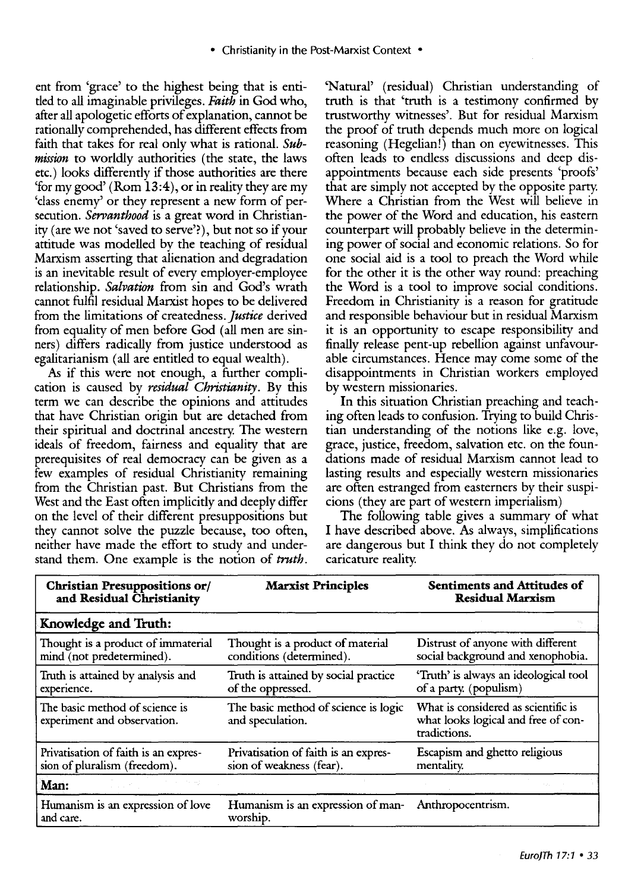ent from 'grace' to the highest being that is entitled to all imaginable privileges. *Faith* in God who, after all apologetic efforts of explanation, cannot be rationally comprehended, has different effects from faith that takes for real only what is rational. *Submission* to worldly authorities (the state, the laws etc.) looks differently if those authorities are there 'for my good' (Rom  $13:4$ ), or in reality they are my 'class enemy' or they represent a new form of persecution. *Servanthood* is a great word in Christianity (are we not 'saved to serve'?), but not so if your attitude was modelled by the teaching of residual Marxism asserting that alienation and degradation is an inevitable result of every employer-employee relationship. *Salvation* from sin and God's wrath cannot fulfil residual Marxist hopes to be delivered from the limitations of createdness. *justice* derived from equality of men before God (all men are sinners) differs radically from justice understood as egalitarianism (all are entitled to equal wealth).

*As* if this were not enough, a further complication is caused by *residual Christianity.* By this term we can describe the opinions and attitudes that have Christian origin but are detached from their spiritual and doctrinal ancestry. The western ideals of freedom, fairness and equality that are prerequisites of real democracy can be given as a few examples of residual Christianity remaining from the Christian past. But Christians from the West and the East often implicitly and deeply differ on the level of their different presuppositions but they cannot solve the puzzle because, too often, neither have made the effort to study and understand them. One example is the notion of *truth.*  'Natural' (residual) Christian understanding of truth is that 'truth is a testimony confirmed by trustworthy witnesses'. But for residual Marxism the proof of truth depends much more on logical reasoning (Hegelian!) than on eyewitnesses. This often leads to endless discussions and deep disappointments because each side presents 'proofs' that are simply not accepted by the opposite party. Where a Christian from the West will believe in the power of the Word and education, his eastern counterpart will probably believe in the determining power of social and economic relations. So for one social aid is a tool to preach the Word while for the other it is the other way round: preaching the Word is a tool to improve social conditions. Freedom in Christianity is a reason for gratitude and responsible behaviour but in residual Marxism it is an opportunity to escape responsibility and finally release pent-up rebellion against unfavourable circumstances. Hence may come some of the disappointments in Christian workers employed by western missionaries.

In this situation Christian preaching and teaching often leads to confusion. Trying to build Christian understanding of the notions like e.g. love, grace, justice, freedom, salvation etc. on the foundations made of residual Marxism cannot lead to lasting results and especially western missionaries are often estranged from easterners by their suspicions (they are part of western imperialism)

The following table gives a summary of what I have described above. As always, simplifications are dangerous but I think they do not completely caricature reality.

| <b>Christian Presuppositions or/</b><br>and Residual Christianity    | <b>Marxist Principles</b>                                        | <b>Sentiments and Attitudes of</b><br><b>Residual Marxism</b>                              |
|----------------------------------------------------------------------|------------------------------------------------------------------|--------------------------------------------------------------------------------------------|
| Knowledge and Truth:                                                 |                                                                  |                                                                                            |
| Thought is a product of immaterial<br>mind (not predetermined).      | Thought is a product of material<br>conditions (determined).     | Distrust of anyone with different<br>social background and xenophobia.                     |
| Truth is attained by analysis and<br>experience.                     | Truth is attained by social practice<br>of the oppressed.        | 'Truth' is always an ideological tool<br>of a party. (populism)                            |
| The basic method of science is<br>experiment and observation.        | The basic method of science is logic<br>and speculation.         | What is considered as scientific is<br>what looks logical and free of con-<br>tradictions. |
| Privatisation of faith is an expres-<br>sion of pluralism (freedom). | Privatisation of faith is an expres-<br>sion of weakness (fear). | Escapism and ghetto religious<br>mentality.                                                |
| Man:                                                                 |                                                                  |                                                                                            |
| Humanism is an expression of love<br>and care.                       | Humanism is an expression of man-<br>worship.                    | Anthropocentrism.                                                                          |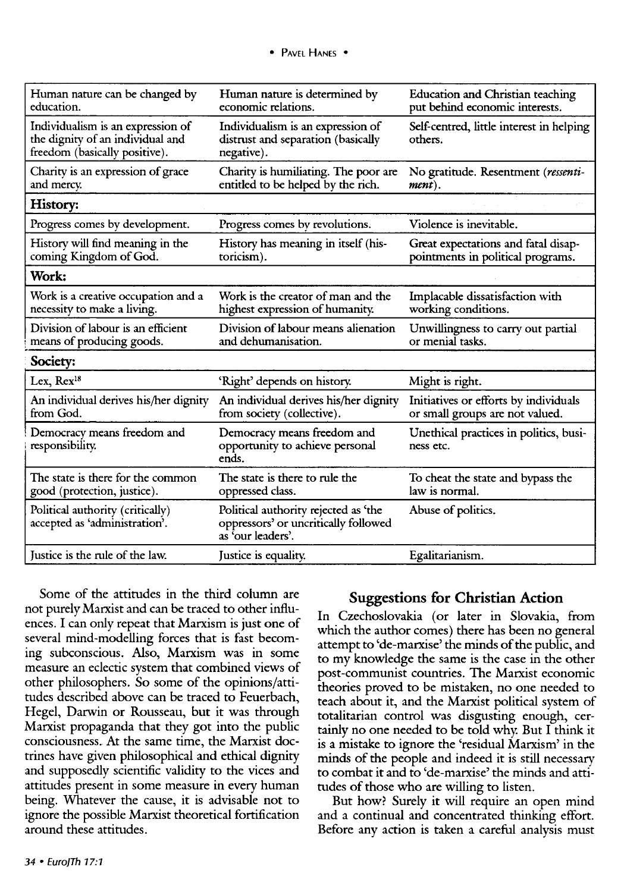| Human nature can be changed by<br>education.                                                           | Human nature is determined by<br>economic relations.                                              | <b>Education and Christian teaching</b><br>put behind economic interests. |
|--------------------------------------------------------------------------------------------------------|---------------------------------------------------------------------------------------------------|---------------------------------------------------------------------------|
| Individualism is an expression of<br>the dignity of an individual and<br>freedom (basically positive). | Individualism is an expression of<br>distrust and separation (basically<br>negative).             | Self-centred, little interest in helping<br>others.                       |
| Charity is an expression of grace<br>and mercy.                                                        | Charity is humiliating. The poor are<br>entitled to be helped by the rich.                        | No gratitude. Resentment (ressenti-<br>ment).                             |
| History:                                                                                               |                                                                                                   |                                                                           |
| Progress comes by development.                                                                         | Progress comes by revolutions.                                                                    | Violence is inevitable.                                                   |
| History will find meaning in the<br>coming Kingdom of God.                                             | History has meaning in itself (his-<br>toricism).                                                 | Great expectations and fatal disap-<br>pointments in political programs.  |
| Work:                                                                                                  |                                                                                                   |                                                                           |
| Work is a creative occupation and a<br>necessity to make a living.                                     | Work is the creator of man and the<br>highest expression of humanity.                             | Implacable dissatisfaction with<br>working conditions.                    |
| Division of labour is an efficient<br>means of producing goods.                                        | Division of labour means alienation<br>and dehumanisation.                                        | Unwillingness to carry out partial<br>or menial tasks.                    |
| Society:                                                                                               |                                                                                                   |                                                                           |
| Lex, Rex <sup>18</sup>                                                                                 | 'Right' depends on history.                                                                       | Might is right.                                                           |
| An individual derives his/her dignity<br>from God.                                                     | An individual derives his/her dignity<br>from society (collective).                               | Initiatives or efforts by individuals<br>or small groups are not valued.  |
| Democracy means freedom and<br>responsibility.                                                         | Democracy means freedom and<br>opportunity to achieve personal<br>ends.                           | Unethical practices in politics, busi-<br>ness etc.                       |
| The state is there for the common<br>good (protection, justice).                                       | The state is there to rule the<br>oppressed class.                                                | To cheat the state and bypass the<br>law is normal.                       |
| Political authority (critically)<br>accepted as 'administration'.                                      | Political authority rejected as 'the<br>oppressors' or uncritically followed<br>as 'our leaders'. | Abuse of politics.                                                        |
| Justice is the rule of the law.                                                                        | Justice is equality.                                                                              | Egalitarianism.                                                           |

Some of the attitudes in the third column are not purely Marxist and can be traced to other influences. I can only repeat that Marxism is just one of several mind-modelling forces that is fast becoming subconscious. Also, Marxism was in some measure an eclectic system that combined views of other philosophers. So some of the opinions/attitudes described above can be traced to Feuerbach, Hegel, Darwin or Rousseau, but it was through Marxist propaganda that they got into the public consciousness. At the same time, the Marxist doctrines have given philosophical and ethical dignity and supposedly scientific validity to the vices and attitudes present in some measure in every human being. Whatever the cause, it is advisable not to ignore the possible Marxist theoretical fortification around these attitudes.

### **Suggestions for Christian Action**

In Czechoslovakia (or later in Slovakia, from which the author comes) there has been no general attempt to 'de-marxise' the minds of the public, and to my knowledge the same is the case in the other post-communist countries. The Marxist economic theories proved to be mistaken, no one needed to teach about it, and the Marxist political system of totalitarian control was disgusting enough, certainly no one needed to be told why. But I think it is a mistake to ignore the 'residual Marxism' in the minds of the people and indeed it is still necessary to combat it and to 'de-marxise' the minds and attitudes of those who are willing to listen.

But how? Surely it will require an open mind and a continual and concentrated thinking effort. Before any action is taken a careful analysis must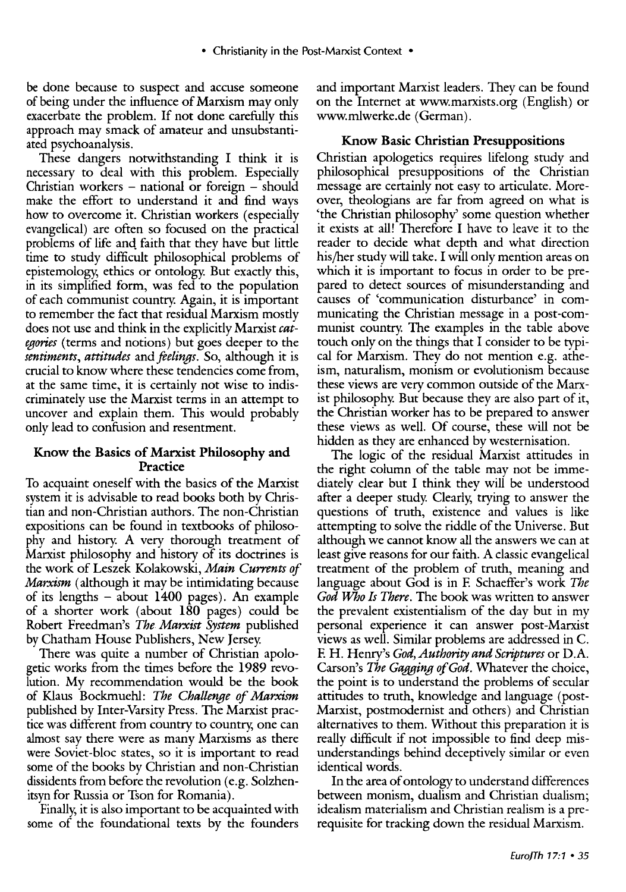be done because to suspect and accuse someone of being under the influence of Marxism may only exacerbate the problem. If not done carefully this approach may smack of amateur and unsubstantiated psychoanalysis.

These dangers notwithstanding I think it is necessary to deal with this problem. Especially Christian workers  $-$  national or foreign  $-$  should make the effort to understand it and find ways how to overcome it. Christian workers (especially evangelical) are often so focused on the practical problems of life anq faith that they have but little time to study difficult philosophical problems of epistemology; ethics or ontology. But exactly this, in its simplified form, was fed to the population of each communist country. Again, it is important to remember the fact that residual Marxism mostly does not use and think in the explicitly Marxist *categories* (terms and notions) but goes deeper to the *sentiments, attitudes* and *feelings.* So, although it is crucial to know where these tendencies come from, at the same time, it is certainly not wise to indiscriminately use the Marxist terms in an attempt to uncover and explain them. This would probably only lead to confusion and resentment.

### Know the Basics of Marxist Philosophy and Practice

To acquaint oneself with the basics of the Marxist system it is advisable to read books both by Christian and non-Christian authors. The non-Christian expositions can be found in textbooks of philosophy and history. A very thorough treatment of Marxist philosophy and history of its doctrines is the work of Leszek Kolakowski, *Main Currents of Marxism* (although it may be intimidating because of its lengths - about 1400 pages). An example of a shorter work (about 180 pages) could be Robert Freedman's *The Marxist System* published by Chatham House Publishers, New Jersey.

There was quite a number of Christian apologetic works from the times before the 1989 revolution. My recommendation would be the book of Klaus Bockmuehl: *The Challenge of Marxism*  published by Inter-Varsity Press. The Marxist practice was different from country to country, one can almost say there were as many Marxisms as there were Soviet-bloc states, so it is important to read some of the books by Christian and non-Christian dissidents from before the revolution (e.g. Solzhenitsyn for Russia or Tson for Romania).

Finally, it is also important to be acquainted with some of the foundational texts by the founders

and important Marxist leaders. They can be found on the Internet at www.marxists.org (English) or www.mlwerke.de (German).

### Know Basic Christian Presuppositions

Christian apologetics requires lifelong study and philosophical presuppositions of the Christian message are certainly not easy to articulate. Moreover, theologians are far from agreed on what is 'the Christian philosophy' some question whether it exists at all! Therefore I have to leave it to the reader to decide what depth and what direction his/her study will take. I will only mention areas on which it is important to focus in order to be prepared to detect sources of misunderstanding and causes of 'communication disturbance' in communicating the Christian message in a post-communist country. The examples in the table above touch only on the things that I consider to be typical for Marxism. They do not mention e.g. atheism, naturalism, monism or evolutionism because these views are very common outside of the Marxist philosophy. But because they are also part of it, the Christian worker has to be prepared to answer these views as well. Of course, these will not be hidden as they are enhanced by westernisation.

The logic of the residual Marxist attitudes in the right column of the table may not be immediately clear but I think they will be understood after a deeper study. Clearly, trying to answer the questions of truth, existence and values is like attempting to solve the riddle of the Universe. But although we cannot know all the answers we can at least give reasons for our faith. A classic evangelical treatment of the problem of truth, meaning and language about God is in F. Schaeffer's work *The God JVho Is There.* The book was written to answer the prevalent existentialism of the day but in my personal experience it can answer post-Marxist views as well. Similar problems are addressed in C. F. H. Henry's *God, Authority and Scriptures* or D .A. Carson's *The Gagging of God.* Whatever the choice, the point is to understand the problems of secular attitudes to truth, knowledge and language (post-Marxist, postmodernist and others) and Christian alternatives to them. Without this preparation it is really difficult if not impossible to find deep misunderstandings behind deceptively similar or even identical words.

In the area of ontology to understand differences between monism, dualism and Christian dualism; idealism materialism and Christian realism is a prerequisite for tracking down the residual Marxism.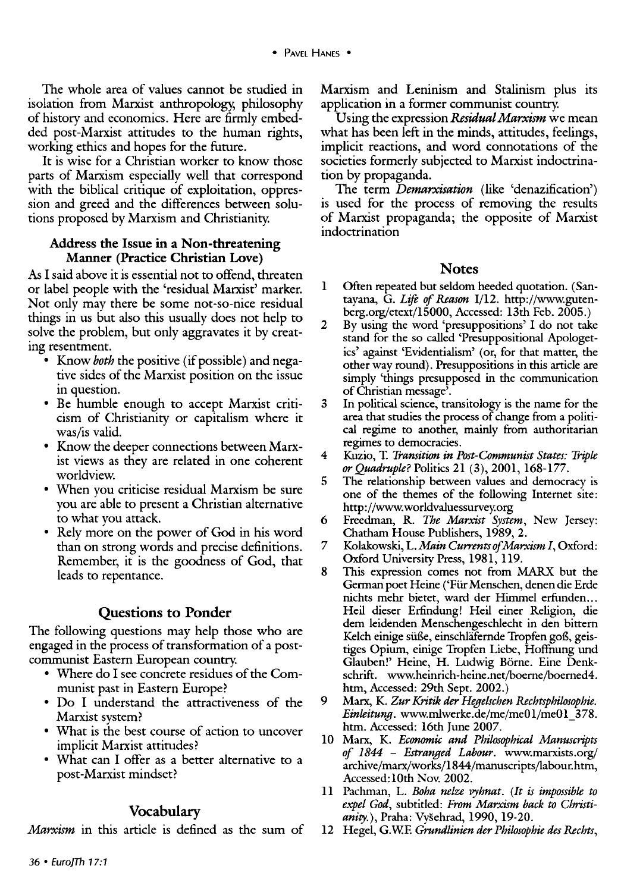The whole area of values cannot be studied in isolation from Marxist anthropology, philosophy of history and economics. Here are firmly embedded post-Marxist attitudes to the human rights, working ethics and hopes for the future.

It is wise for a Christian worker to know those parts of Marxism especially well that correspond with the biblical critique of exploitation, oppression and greed and the differences between solutions proposed by Marxism and Christianity.

#### Address the Issue in a Non-threatening Manner (Practice Christian Love)

As I said above it is essential not to offend, threaten or label people with the 'residual Marxist' marker. Not only may there be some not-so-nice residual things in us but also this usually does not help to solve the problem, but only aggravates it by creating resentment.

- Know *both* the positive (if possible) and negative sides of the Marxist position on the issue in question.
- Be humble enough to accept Marxist criticism of Christianity or capitalism where it was/is valid.
- Know the deeper connections between Marxist views as they are related in one coherent worldview.
- When you criticise residual Marxism be sure you are able to present a Christian alternative to what you attack.
- Rely more on the power of God in his word than on strong words and precise definitions. Remember, it is the goodness of God, that leads to repentance.

### Questions to Ponder

The following questions may help those who are engaged in the process of transformation of a postcommunist Eastern European country.

- Where do I see concrete residues of the Communist past in Eastern Europe?
- Do I understand the attractiveness of the Marxist system?
- What is the best course of action to uncover implicit Marxist attitudes?
- What can I offer as a better alternative to a post-Marxist mindset?

### Vocabulary

*Marxism* in this article is defined as the sum of

Marxism and Leninism and Stalinism plus its application in a former communist country.

Using the expression *Residual Marxism* we mean what has been left in the minds, attitudes, feelings, implicit reactions, and word connotations of the societies formerly subjected to Marxist indoctrination by propaganda.

The term *Demarxisation* (like 'denazification') is used for the process of removing the results of Marxist propaganda; the opposite of Marxist indoctrination

#### Notes

- 1 Often repeated but seldom heeded quotation. (Santayana, G. *Life of Reason* I/12. http://www.gutenberg.org/etext/15000, Accessed: 13th Feb. 2005.)
- 2 By using the word 'presuppositions' I do not take stand for the so called 'Presuppositional Apologetics' against 'Evidentialism' (or, for that matter, the other way round). Presuppositions in this article are simply 'things presupposed in the communication of Christian message'.
- 3 In political science, transitology is the name for the area that studies the process of change from a political regime to another, mainly from authoritarian regimes to democracies.
- 4 Kuzio, T. *Transition in Post-Communist States: Triple or Quadruple?* Politics 21 (3), 2001, 168-177.
- 5 The relationship between values and democracy is one of the themes of the following Internet site: http://www. worldvaluessurvey.org
- 6 Freedman, R. *The Marxist System,* New Jersey: Chatham House Publishers, 1989, 2.
- 7 Kolakowski, L. *Main Currents of Marxism I,* Oxford: Oxford University Press, 1981, 119.
- 8 This expression comes not from MARX but the German poet Heine ('Fiir Menschen, denen die Erde nichts mehr bietet, ward der Himmel erfunden... Heil dieser Erfindung! Heil einer Religion, die dem leidenden Menschengeschlecht in den bittern Kelch einige süße, einschläfernde Tropfen goß, geistiges Opium, einige Tropfen Liebe, Hoffnung und Glauben!' Heine, H. Ludwig Borne. Eine Denkschrift. www.heinrich-heine.net/boerne/boerned4. htm, Accessed: 29th Sept. 2002.)
- 9 Marx, K. *Zur Kritik* der *Hegelschen Rechtsphilosophie. Einleitung.* www.mlwerke.de/me/me01/me01 378. htm. Accessed: 16th June 2007.
- 10 Marx, K. *Economic and Philosophical Manuscripts of 1844* - *Estranged Labour.* www.marxists.org/ archive/marx/works/1844/manuscripts/labour.htm, Accessed:10th Nov. 2002.
- 11 Pachman, L. *Boha nelze vyhnat. (It is impossible to expel God,* subtitled: *From Marxism back to Christianity.),* Praha: Vysehrad, 1990, 19-20.
- 12 Hegel, G.W.E *Grundlinien der Philosophic des Rechts,*